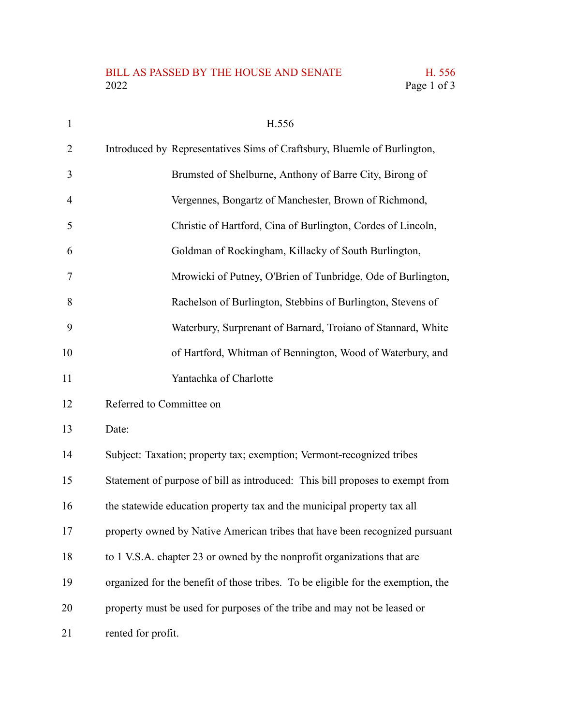## BILL AS PASSED BY THE HOUSE AND SENATE H. 556<br>2022 Page 1 of 3

| $\mathbf{1}$ | H.556                                                                            |
|--------------|----------------------------------------------------------------------------------|
| 2            | Introduced by Representatives Sims of Craftsbury, Bluemle of Burlington,         |
| 3            | Brumsted of Shelburne, Anthony of Barre City, Birong of                          |
| 4            | Vergennes, Bongartz of Manchester, Brown of Richmond,                            |
| 5            | Christie of Hartford, Cina of Burlington, Cordes of Lincoln,                     |
| 6            | Goldman of Rockingham, Killacky of South Burlington,                             |
| 7            | Mrowicki of Putney, O'Brien of Tunbridge, Ode of Burlington,                     |
| 8            | Rachelson of Burlington, Stebbins of Burlington, Stevens of                      |
| 9            | Waterbury, Surprenant of Barnard, Troiano of Stannard, White                     |
| 10           | of Hartford, Whitman of Bennington, Wood of Waterbury, and                       |
| 11           | Yantachka of Charlotte                                                           |
| 12           | Referred to Committee on                                                         |
| 13           | Date:                                                                            |
| 14           | Subject: Taxation; property tax; exemption; Vermont-recognized tribes            |
| 15           | Statement of purpose of bill as introduced: This bill proposes to exempt from    |
| 16           | the statewide education property tax and the municipal property tax all          |
| 17           | property owned by Native American tribes that have been recognized pursuant      |
| 18           | to 1 V.S.A. chapter 23 or owned by the nonprofit organizations that are          |
| 19           | organized for the benefit of those tribes. To be eligible for the exemption, the |
| 20           | property must be used for purposes of the tribe and may not be leased or         |
| 21           | rented for profit.                                                               |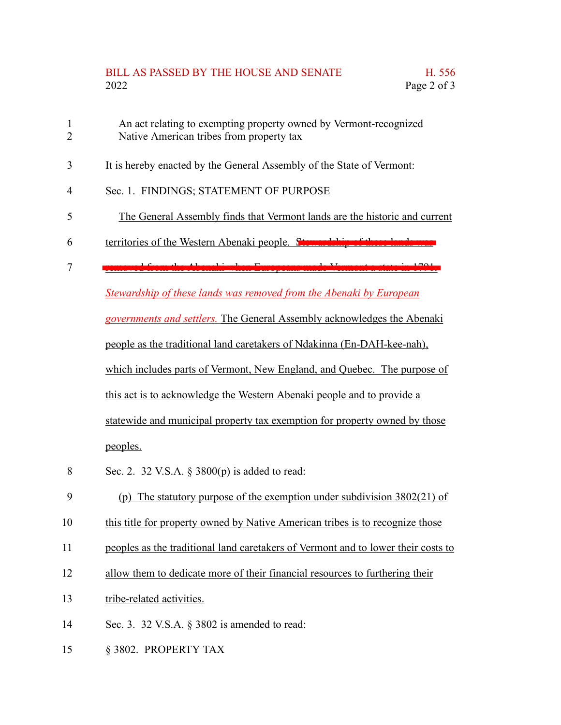## BILL AS PASSED BY THE HOUSE AND SENATE H. 556 2022 Page 2 of 3

- An act relating to exempting property owned by Vermont-recognized Native American tribes from property tax 1 2
- It is hereby enacted by the General Assembly of the State of Vermont: 3
- Sec. 1. FINDINGS; STATEMENT OF PURPOSE 4
- The General Assembly finds that Vermont lands are the historic and current 5
- territories of the Western Abenaki people. Stewardship 6
- removed from the Abenaki when Europeans made Vermont a state in 1791. 7

*Stewardship of these lands was removed from the Abenaki by European*

*governments and settlers.* The General Assembly acknowledges the Abenaki

people as the traditional land caretakers of Ndakinna (En-DAH-kee-nah),

which includes parts of Vermont, New England, and Quebec. The purpose of

this act is to acknowledge the Western Abenaki people and to provide a

statewide and municipal property tax exemption for property owned by those peoples.

- Sec. 2. 32 V.S.A. § 3800(p) is added to read: 8
- (p) The statutory purpose of the exemption under subdivision 3802(21) of 9
- this title for property owned by Native American tribes is to recognize those 10
- peoples as the traditional land caretakers of Vermont and to lower their costs to 11
- allow them to dedicate more of their financial resources to furthering their 12
- tribe-related activities. 13
- Sec. 3. 32 V.S.A. § 3802 is amended to read: 14
- § 3802. PROPERTY TAX 15